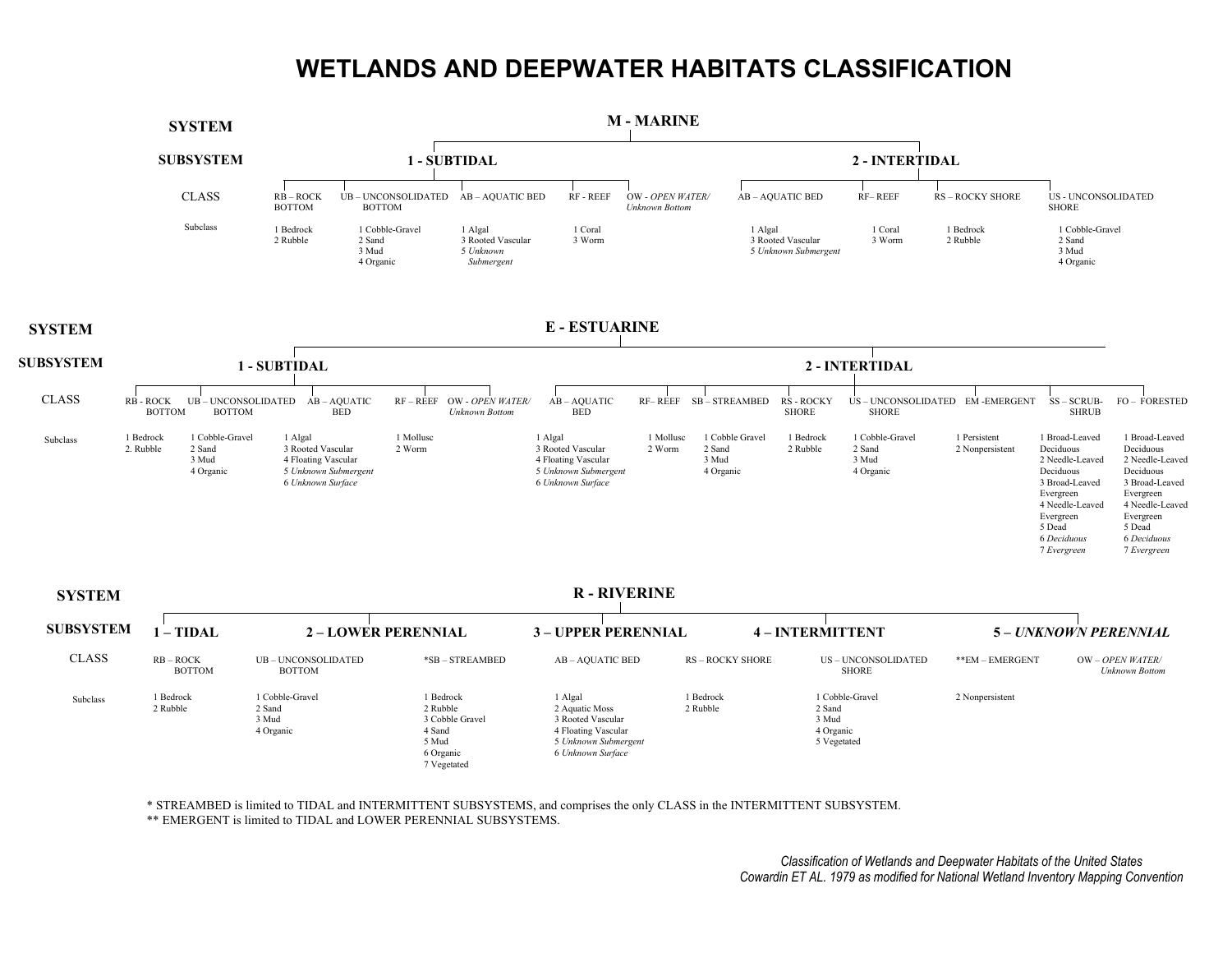## **WETLANDS AND DEEPWATER HABITATS CLASSIFICATION**



\* STREAMBED is limited to TIDAL and INTERMITTENT SUBSYSTEMS, and comprises the only CLASS in the INTERMITTENT SUBSYSTEM.

\*\* EMERGENT is limited to TIDAL and LOWER PERENNIAL SUBSYSTEMS.

*Classification of Wetlands and Deepwater Habitats of the United States Cowardin ET AL. 1979 as modified for National Wetland Inventory Mapping Convention*